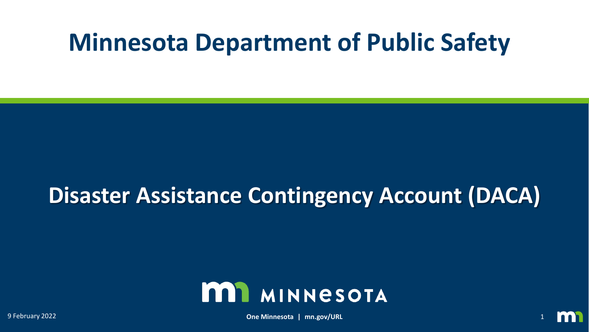# **Minnesota Department of Public Safety**

## **Disaster Assistance Contingency Account (DACA)**



9 February 2022 **One Minnesota | mn.gov/URL** 1

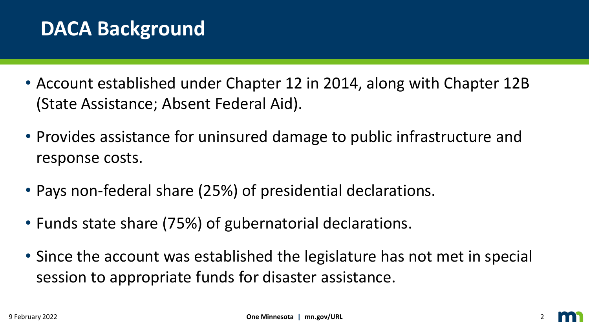## **DACA Background**

- Account established under Chapter 12 in 2014, along with Chapter 12B (State Assistance; Absent Federal Aid).
- Provides assistance for uninsured damage to public infrastructure and response costs.
- Pays non-federal share (25%) of presidential declarations.
- Funds state share (75%) of gubernatorial declarations.
- Since the account was established the legislature has not met in special session to appropriate funds for disaster assistance.

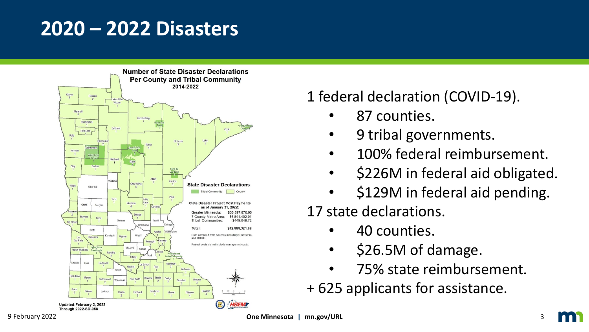### **2020 – 2022 Disasters**



#### 1 federal declaration (COVID-19).

- 87 counties.
- 9 tribal governments.
- 100% federal reimbursement.
- \$226M in federal aid obligated.
- \$129M in federal aid pending.

#### 17 state declarations.

- 40 counties.
- \$26.5M of damage.
- 75% state reimbursement.
- + 625 applicants for assistance.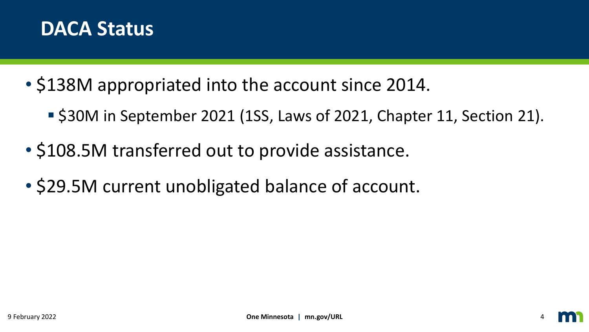

- \$138M appropriated into the account since 2014.
	- \$30M in September 2021 (1SS, Laws of 2021, Chapter 11, Section 21).
- \$108.5M transferred out to provide assistance.
- \$29.5M current unobligated balance of account.